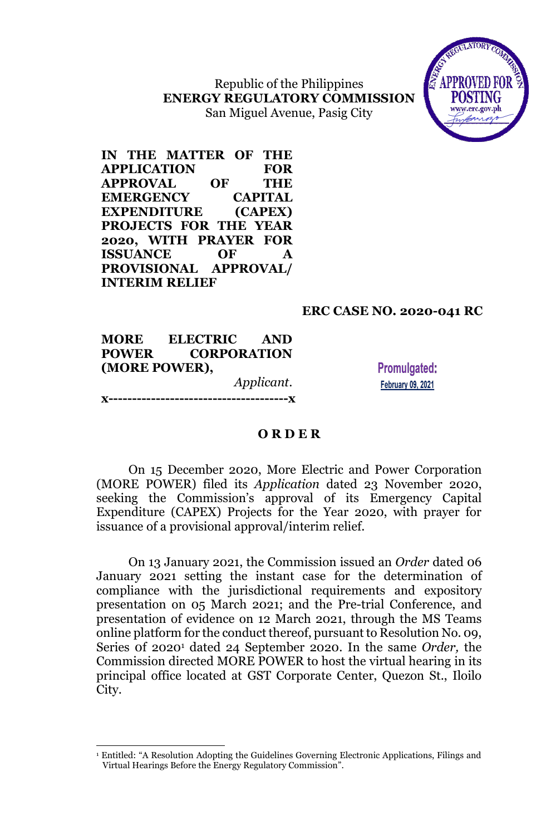Republic of the Philippines **ENERGY REGULATORY COMMISSION** San Miguel Avenue, Pasig City



**IN THE MATTER OF THE APPLICATION FOR APPROVAL OF THE EMERGENCY CAPITAL EXPENDITURE (CAPEX) PROJECTS FOR THE YEAR 2020, WITH PRAYER FOR ISSUANCE OF A PROVISIONAL APPROVAL/ INTERIM RELIEF**

# **ERC CASE NO. 2020-041 RC**

**MORE ELECTRIC AND POWER CORPORATION (MORE POWER),** *Applicant*. **x--------------------------------------x**

 $\overline{a}$ 

**Promulgated: February 09, 2021** 

### **O R D E R**

On 15 December 2020, More Electric and Power Corporation (MORE POWER) filed its *Application* dated 23 November 2020, seeking the Commission's approval of its Emergency Capital Expenditure (CAPEX) Projects for the Year 2020, with prayer for issuance of a provisional approval/interim relief.

On 13 January 2021, the Commission issued an *Order* dated 06 January 2021 setting the instant case for the determination of compliance with the jurisdictional requirements and expository presentation on 05 March 2021; and the Pre-trial Conference, and presentation of evidence on 12 March 2021, through the MS Teams online platform for the conduct thereof, pursuant to Resolution No. 09, Series 0f 2020<sup>1</sup> dated 24 September 2020. In the same *Order,* the Commission directed MORE POWER to host the virtual hearing in its principal office located at GST Corporate Center, Quezon St., Iloilo City.

<sup>&</sup>lt;sup>1</sup> Entitled: "A Resolution Adopting the Guidelines Governing Electronic Applications, Filings and Virtual Hearings Before the Energy Regulatory Commission".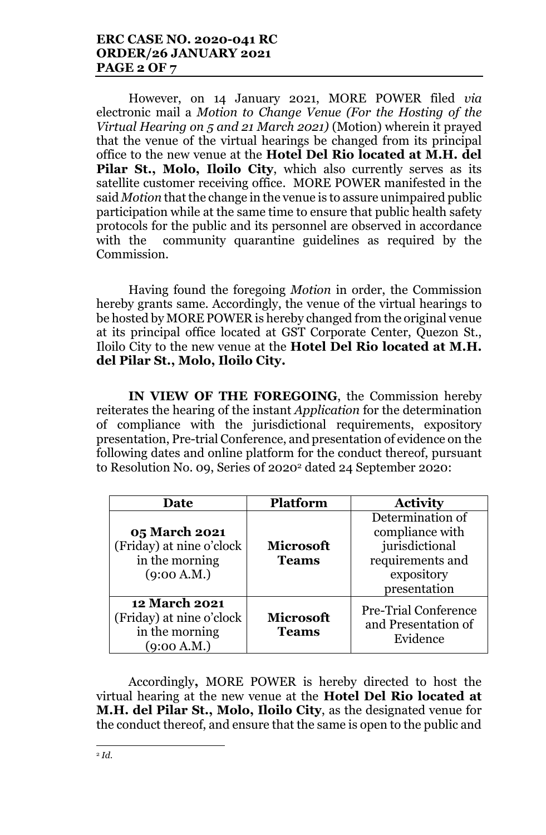# **ERC CASE NO. 2020-041 RC ORDER/26 JANUARY 2021 PAGE 2 OF 7**

However, on 14 January 2021, MORE POWER filed *via*  electronic mail a *Motion to Change Venue (For the Hosting of the Virtual Hearing on 5 and 21 March 2021)* (Motion) wherein it prayed that the venue of the virtual hearings be changed from its principal office to the new venue at the **Hotel Del Rio located at M.H. del Pilar St., Molo, Iloilo City**, which also currently serves as its satellite customer receiving office. MORE POWER manifested in the said *Motion* that the change in the venue is to assure unimpaired public participation while at the same time to ensure that public health safety protocols for the public and its personnel are observed in accordance with the community quarantine guidelines as required by the Commission.

Having found the foregoing *Motion* in order, the Commission hereby grants same. Accordingly, the venue of the virtual hearings to be hosted by MORE POWER is hereby changed from the original venue at its principal office located at GST Corporate Center, Quezon St., Iloilo City to the new venue at the **Hotel Del Rio located at M.H. del Pilar St., Molo, Iloilo City.**

**IN VIEW OF THE FOREGOING**, the Commission hereby reiterates the hearing of the instant *Application* for the determination of compliance with the jurisdictional requirements, expository presentation, Pre-trial Conference, and presentation of evidence on the following dates and online platform for the conduct thereof, pursuant to Resolution No. 09, Series 0f 2020<sup>2</sup> dated 24 September 2020:

| Date                                                                              | <b>Platform</b>                  | <b>Activity</b>                                                                                         |
|-----------------------------------------------------------------------------------|----------------------------------|---------------------------------------------------------------------------------------------------------|
| <b>05 March 2021</b><br>(Friday) at nine o'clock<br>in the morning<br>(9:00 A.M.) | <b>Microsoft</b><br><b>Teams</b> | Determination of<br>compliance with<br>jurisdictional<br>requirements and<br>expository<br>presentation |
| <b>12 March 2021</b><br>(Friday) at nine o'clock<br>in the morning<br>(9:00 A.M.) | <b>Microsoft</b><br><b>Teams</b> | <b>Pre-Trial Conference</b><br>and Presentation of<br>Evidence                                          |

Accordingly**,** MORE POWER is hereby directed to host the virtual hearing at the new venue at the **Hotel Del Rio located at M.H. del Pilar St., Molo, Iloilo City**, as the designated venue for the conduct thereof, and ensure that the same is open to the public and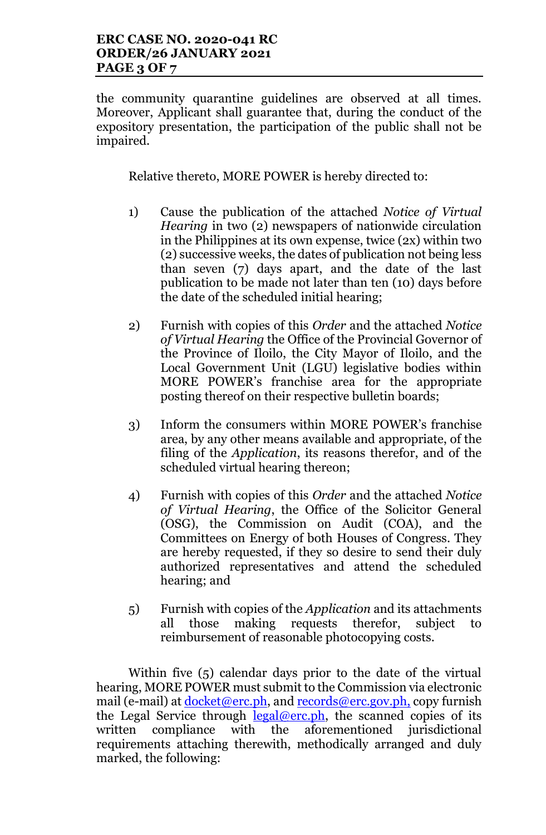the community quarantine guidelines are observed at all times. Moreover, Applicant shall guarantee that, during the conduct of the expository presentation, the participation of the public shall not be impaired.

Relative thereto, MORE POWER is hereby directed to:

- 1) Cause the publication of the attached *Notice of Virtual Hearing* in two (2) newspapers of nationwide circulation in the Philippines at its own expense, twice (2x) within two (2) successive weeks, the dates of publication not being less than seven (7) days apart, and the date of the last publication to be made not later than ten (10) days before the date of the scheduled initial hearing;
- 2) Furnish with copies of this *Order* and the attached *Notice of Virtual Hearing* the Office of the Provincial Governor of the Province of Iloilo, the City Mayor of Iloilo, and the Local Government Unit (LGU) legislative bodies within MORE POWER's franchise area for the appropriate posting thereof on their respective bulletin boards;
- 3) Inform the consumers within MORE POWER's franchise area, by any other means available and appropriate, of the filing of the *Application*, its reasons therefor, and of the scheduled virtual hearing thereon;
- 4) Furnish with copies of this *Order* and the attached *Notice of Virtual Hearing*, the Office of the Solicitor General (OSG), the Commission on Audit (COA), and the Committees on Energy of both Houses of Congress. They are hereby requested, if they so desire to send their duly authorized representatives and attend the scheduled hearing; and
- 5) Furnish with copies of the *Application* and its attachments all those making requests therefor, subject to reimbursement of reasonable photocopying costs.

Within five (5) calendar days prior to the date of the virtual hearing, MORE POWER must submit to the Commission via electronic mail (e-mail) at <u>docket@erc.ph</u>, and records@erc.gov.ph, copy furnish the Legal Service through  $\frac{\text{legal@erc.ph}}{\text{legal@erc.ph}}$ , the scanned copies of its written compliance with the aforementioned jurisdictional requirements attaching therewith, methodically arranged and duly marked, the following: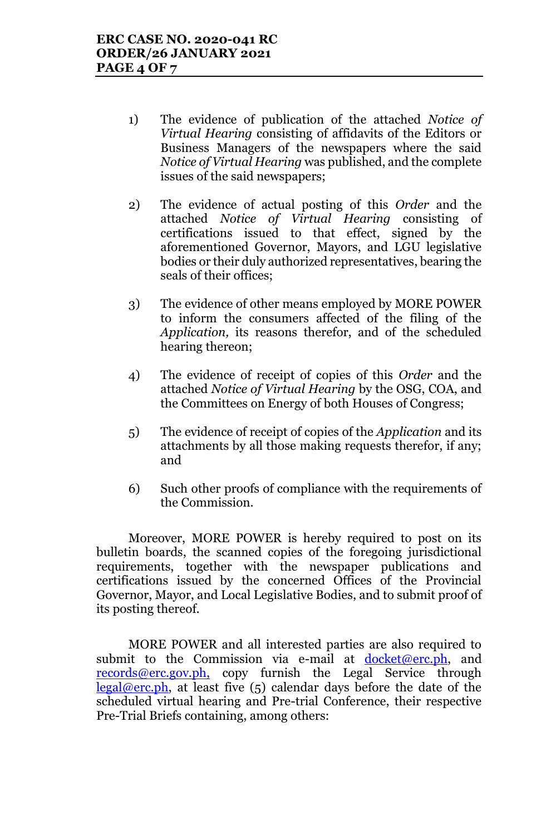- 1) The evidence of publication of the attached *Notice of Virtual Hearing* consisting of affidavits of the Editors or Business Managers of the newspapers where the said *Notice of Virtual Hearing* was published, and the complete issues of the said newspapers;
- 2) The evidence of actual posting of this *Order* and the attached *Notice of Virtual Hearing* consisting of certifications issued to that effect, signed by the aforementioned Governor, Mayors, and LGU legislative bodies or their duly authorized representatives, bearing the seals of their offices;
- 3) The evidence of other means employed by MORE POWER to inform the consumers affected of the filing of the *Application,* its reasons therefor, and of the scheduled hearing thereon;
- 4) The evidence of receipt of copies of this *Order* and the attached *Notice of Virtual Hearing* by the OSG, COA, and the Committees on Energy of both Houses of Congress;
- 5) The evidence of receipt of copies of the *Application* and its attachments by all those making requests therefor, if any; and
- 6) Such other proofs of compliance with the requirements of the Commission.

Moreover, MORE POWER is hereby required to post on its bulletin boards, the scanned copies of the foregoing jurisdictional requirements, together with the newspaper publications and certifications issued by the concerned Offices of the Provincial Governor, Mayor, and Local Legislative Bodies, and to submit proof of its posting thereof.

MORE POWER and all interested parties are also required to submit to the Commission via e-mail at  $d$ ocket@erc.ph, and records@erc.gov.ph, copy furnish the Legal Service through  $\text{legal@erc.ph.}$  at least five (5) calendar days before the date of the scheduled virtual hearing and Pre-trial Conference, their respective Pre-Trial Briefs containing, among others: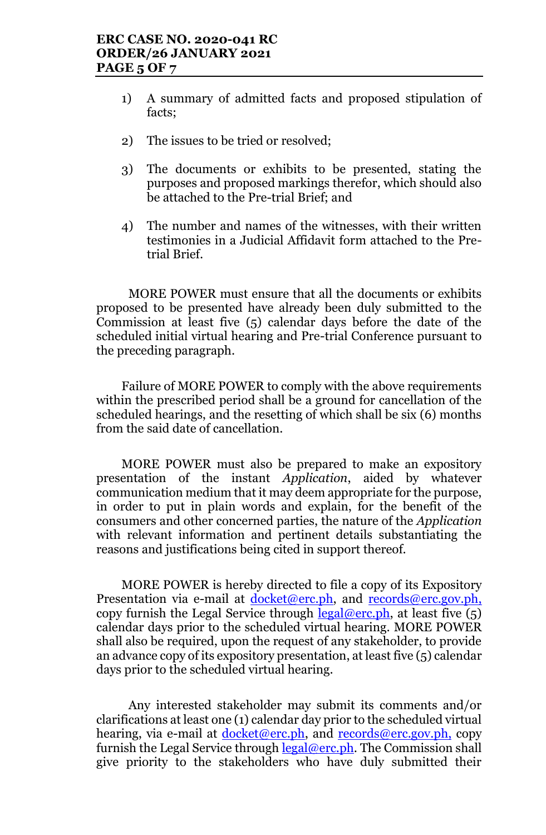- 1) A summary of admitted facts and proposed stipulation of facts;
- 2) The issues to be tried or resolved;
- 3) The documents or exhibits to be presented, stating the purposes and proposed markings therefor, which should also be attached to the Pre-trial Brief; and
- 4) The number and names of the witnesses, with their written testimonies in a Judicial Affidavit form attached to the Pretrial Brief.

MORE POWER must ensure that all the documents or exhibits proposed to be presented have already been duly submitted to the Commission at least five (5) calendar days before the date of the scheduled initial virtual hearing and Pre-trial Conference pursuant to the preceding paragraph.

Failure of MORE POWER to comply with the above requirements within the prescribed period shall be a ground for cancellation of the scheduled hearings, and the resetting of which shall be six (6) months from the said date of cancellation.

MORE POWER must also be prepared to make an expository presentation of the instant *Application*, aided by whatever communication medium that it may deem appropriate for the purpose, in order to put in plain words and explain, for the benefit of the consumers and other concerned parties, the nature of the *Application* with relevant information and pertinent details substantiating the reasons and justifications being cited in support thereof.

MORE POWER is hereby directed to file a copy of its Expository Presentation via e-mail at docket@erc.ph, and records@erc.gov.ph, copy furnish the Legal Service through  $\frac{\text{legal@erc.ph}}{\text{legal@erc.ph}}$ , at least five  $(5)$ calendar days prior to the scheduled virtual hearing. MORE POWER shall also be required, upon the request of any stakeholder, to provide an advance copy of its expository presentation, at least five (5) calendar days prior to the scheduled virtual hearing.

Any interested stakeholder may submit its comments and/or clarifications at least one (1) calendar day prior to the scheduled virtual hearing, via e-mail at <u>docket@erc.ph</u>, and records@erc.gov.ph, copy furnish the Legal Service through legal@erc.ph. The Commission shall give priority to the stakeholders who have duly submitted their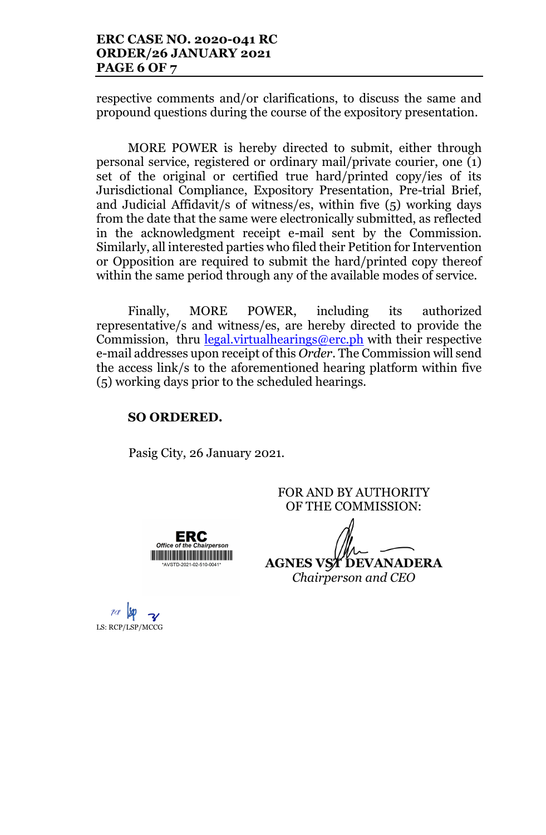respective comments and/or clarifications, to discuss the same and propound questions during the course of the expository presentation.

MORE POWER is hereby directed to submit, either through personal service, registered or ordinary mail/private courier, one (1) set of the original or certified true hard/printed copy/ies of its Jurisdictional Compliance, Expository Presentation, Pre-trial Brief, and Judicial Affidavit/s of witness/es, within five (5) working days from the date that the same were electronically submitted, as reflected in the acknowledgment receipt e-mail sent by the Commission. Similarly, all interested parties who filed their Petition for Intervention or Opposition are required to submit the hard/printed copy thereof within the same period through any of the available modes of service.

Finally, MORE POWER, including its authorized representative/s and witness/es, are hereby directed to provide the Commission, thru  $\frac{\text{legal.virtualhearings@erc.ph}}{\text{#of}}$  with their respective e-mail addresses upon receipt of this *Order*. The Commission will send the access link/s to the aforementioned hearing platform within five (5) working days prior to the scheduled hearings.

## **SO ORDERED.**

Pasig City, 26 January 2021.

**ERC** 

<u> Harry Harry Harry Harry Harry Harry Harry Harry Harry Harry Harry Harry Harry Harry Harry Harry Harry Harry Harry Harry Harry Harry Harry Harry Harry Harry Harry Harry Harry Harry Harry Harry Harry Harry Harry Harry Harr</u> \*AVSTD-2021-02-510-0041\*

 $Offica$ 

FOR AND BY AUTHORITY OF THE COMMISSION:

**AGNES VST DEVANADERA** *Chairperson and CEO*

LS: RCP/LSP/MCCG